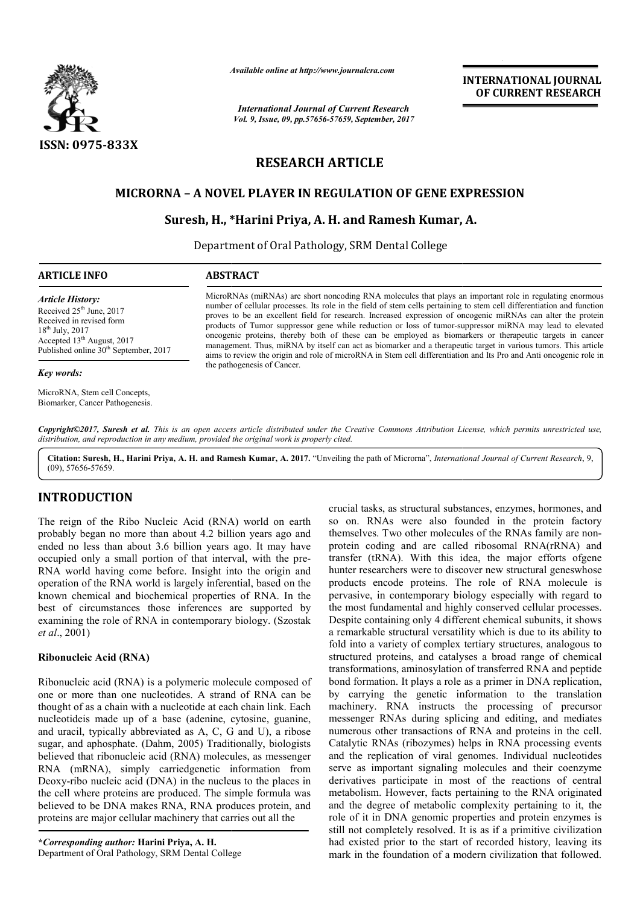

*Available online at http://www.journalcra.com*

*International Journal of Current Research Vol. 9, Issue, 09, pp.57656-57659, September, 2017* **INTERNATIONAL JOURNAL OF CURRENT RESEARCH**

# **RESEARCH ARTICLE**

# **MICRORNA – A NOVEL PLAYER IN REGULATION OF GENE EXPRESSION GENE EXPRESSION, A.**

# **Suresh, H., \* \*Harini Priya, A. H. and Ramesh Kumar,**

Department of Oral Pathology, SRM Dental College

# **ARTICLE INFO ABSTRACT**

*Article History:* Received 25<sup>th</sup> June, 2017 Received in revised form 18th July, 2017 Accepted 13<sup>th</sup> August, 2017 Published online  $30<sup>th</sup>$  September, 2017

#### *Key words:*

MicroRNA, Stem cell Concepts, Biomarker, Cancer Pathogenesis. MicroRNAs (miRNAs) are short noncoding RNA molecules that plays an important role in regulating enormous number of cellular processes. Its role in the field of stem cells pertaining to stem cell differentiation and function proves to be an excellent field for research. Increased expression of oncogenic miRNAs can alter the protein products of Tumor suppressor gene while reduction or loss of tumor-suppressor miRNA may lead to elevated oncogenic proteins, thereby both of these can be employed as biomarkers or management. Thus, miRNA by itself can act as biomarker and a therapeutic target in various tumors. This article aims to review the origin and role of microRNA in Stem cell differentiation and Its Pro and Anti oncogenic rol aims to review the origin and role of microRNA in Stem cell differentiation and Its Pro and Anti oncogenic role i the pathogenesis of Cancer. MicroRNAs (miRNAs) are short noncoding RNA molecules that plays an important role in regulating enormous number of cellular processes. Its role in the field of stem cells pertaining to stem cell differentiation and functio

Copyright©2017, Suresh et al. This is an open access article distributed under the Creative Commons Attribution License, which permits unrestricted use, *distribution, and reproduction in any medium, provided the original work is properly cited.*

Citation: Suresh, H., Harini Priya, A. H. and Ramesh Kumar, A. 2017. "Unveiling the path of Microrna", *International Journal of Current Research*, 9, (09), 57656-57659.

# **INTRODUCTION**

The reign of the Ribo Nucleic Acid (RNA) world on earth probably began no more than about 4.2 billion years ago and ended no less than about 3.6 billion years ago. It may have occupied only a small portion of that interval, with the pre-RNA world having come before. Insight into the origin and operation of the RNA world is largely inferential, based on the known chemical and biochemical properties of RNA. In the best of circumstances those inferences are supported by examining the role of RNA in contemporary biology. (Szostak *et al*., 2001)

# **Ribonucleic Acid (RNA)**

Ribonucleic acid (RNA) is a polymeric molecule composed of one or more than one nucleotides. A strand of RNA can be thought of as a chain with a nucleotide at each chain link. Each nucleotideis made up of a base (adenine, cytosine, guanine, and uracil, typically abbreviated as A, C, G and U), a ribose sugar, and aphosphate. (Dahm, 2005) Traditionally, biologists believed that ribonucleic acid (RNA) molecules, as messenger RNA (mRNA), simply carriedgenetic information from Deoxy-ribo nucleic acid (DNA) in the nucleus to the places in the cell where proteins are produced. The simple formula was believed to be DNA makes RNA, RNA produces protein, and proteins are major cellular machinery that carries out all the

**\****Corresponding author:* **Harini Priya, A. H.**  Department of Oral Pathology, SRM Dental College

crucial tasks, as structural substances, enzymes, hormones, and so on. RNAs were also founded in the protein factory themselves. Two other molecules of the RNAs family are nonprotein coding and are called ribosomal RNA(rRNA) and transfer (tRNA). With this idea, the major efforts ofgene hunter researchers were to discover new structural geneswhose protein coding and are called ribosomal RNA(rRNA) and transfer (tRNA). With this idea, the major efforts ofgene hunter researchers were to discover new structural geneswhose products encode proteins. The role of RNA molecu pervasive, in contemporary biology especially with regard to the most fundamental and highly conserved cellular processes. Despite containing only 4 different chemical subunits, it shows a remarkable structural versatility which is due t fold into a variety of complex tertiary structures, analogous to structured proteins, and catalyses a broad range of chemical transformations, aminosylation of transferred RNA and peptide bond formation. It plays a role as a primer in DNA by carrying the genetic information to the translation machinery. RNA instructs the processing of precursor messenger RNAs during splicing and editing, and mediates numerous other transactions of RNA and proteins in the cell. Catalytic RNAs (ribozymes) helps in RNA processing events and the replication of viral genomes. Individual nucleotides serve as important signaling molecules and their coenzyme derivatives participate in most of the reactions of central metabolism. However, facts pertaining to the RNA originated and the degree of metabolic complexity pertaining to it, the role of it in DNA genomic properties and protein enzymes is still not completely resolved. It is as if a primitive civilization had existed prior to the start of recorded history, leaving its mark in the foundation of a modern civilization that followed. e most fundamental and highly conserved cellular processes.<br>espite containing only 4 different chemical subunits, it shows<br>remarkable structural versatility which is due to its ability to ns, and catalyses a broad range of chemical<br>aminosylation of transferred RNA and peptide<br>It plays a role as a primer in DNA replication, carrying the genetic information to the translation<br>hinery. RNA instructs the processing of precursor<br>senger RNAs during splicing and editing, and mediates<br>erous other transactions of RNA and proteins in the cell. and the degree of metabolic complexity pertaining to it, the role of it in DNA genomic properties and protein enzymes is still not completely resolved. It is as if a primitive civilization had existed prior to the start of **INTERNATIONAL JOURNAL OF CURRENT RESEARCH**<br> **OF CURRENT RESEARCH**<br> **OF CURRENT RESEARCH**<br> **OF CURRENT RESEARCH**<br> **IDENT ASSEM CONDIT CONSERVAT CONSERVAT CONSERVATE (THE ASSEM CONSERVATIONS) CONSERVATIONS CONSERVATIONS CON**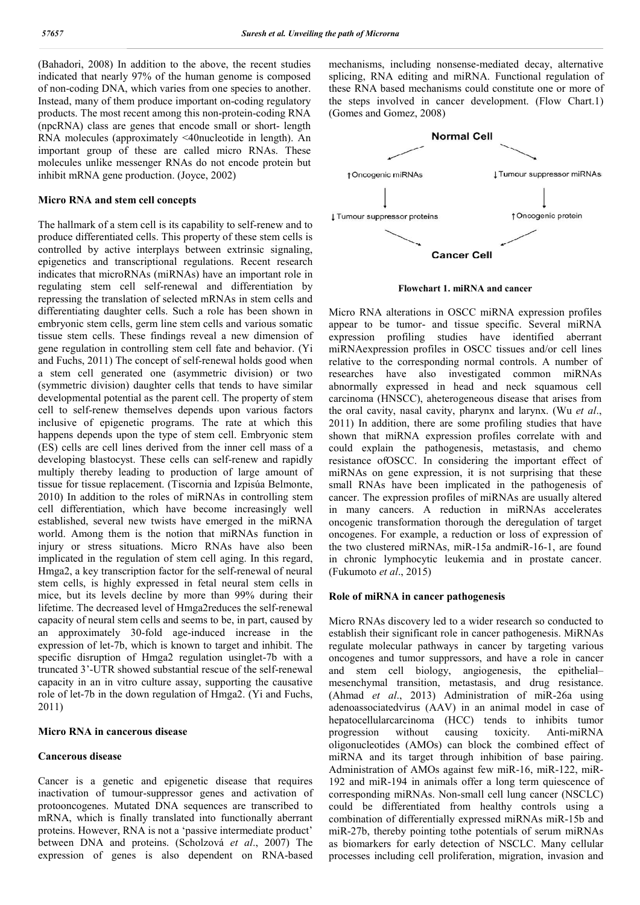(Bahadori, 2008) In addition to the above, the recent studies indicated that nearly 97% of the human genome is composed of non-coding DNA, which varies from one species to another. Instead, many of them produce important on-coding regulatory products. The most recent among this non-protein-coding RNA (npcRNA) class are genes that encode small or short- length RNA molecules (approximately <40nucleotide in length). An important group of these are called micro RNAs. These molecules unlike messenger RNAs do not encode protein but inhibit mRNA gene production. (Joyce, 2002)

#### **Micro RNA and stem cell concepts**

The hallmark of a stem cell is its capability to self-renew and to produce differentiated cells. This property of these stem cells is controlled by active interplays between extrinsic signaling, epigenetics and transcriptional regulations. Recent research indicates that microRNAs (miRNAs) have an important role in regulating stem cell self-renewal and differentiation by repressing the translation of selected mRNAs in stem cells and differentiating daughter cells. Such a role has been shown in embryonic stem cells, germ line stem cells and various somatic tissue stem cells. These findings reveal a new dimension of gene regulation in controlling stem cell fate and behavior. (Yi and Fuchs, 2011) The concept of self-renewal holds good when a stem cell generated one (asymmetric division) or two (symmetric division) daughter cells that tends to have similar developmental potential as the parent cell. The property of stem cell to self-renew themselves depends upon various factors inclusive of epigenetic programs. The rate at which this happens depends upon the type of stem cell. Embryonic stem (ES) cells are cell lines derived from the inner cell mass of a developing blastocyst. These cells can self-renew and rapidly multiply thereby leading to production of large amount of tissue for tissue replacement. (Tiscornia and Izpisúa Belmonte, 2010) In addition to the roles of miRNAs in controlling stem cell differentiation, which have become increasingly well established, several new twists have emerged in the miRNA world. Among them is the notion that miRNAs function in injury or stress situations. Micro RNAs have also been implicated in the regulation of stem cell aging. In this regard, Hmga2, a key transcription factor for the self-renewal of neural stem cells, is highly expressed in fetal neural stem cells in mice, but its levels decline by more than 99% during their lifetime. The decreased level of Hmga2reduces the self-renewal capacity of neural stem cells and seems to be, in part, caused by an approximately 30-fold age-induced increase in the expression of let-7b, which is known to target and inhibit. The specific disruption of Hmga2 regulation usinglet-7b with a truncated 3'-UTR showed substantial rescue of the self-renewal capacity in an in vitro culture assay, supporting the causative role of let-7b in the down regulation of Hmga2. (Yi and Fuchs, 2011)

#### **Micro RNA in cancerous disease**

### **Cancerous disease**

Cancer is a genetic and epigenetic disease that requires inactivation of tumour-suppressor genes and activation of protooncogenes. Mutated DNA sequences are transcribed to mRNA, which is finally translated into functionally aberrant proteins. However, RNA is not a 'passive intermediate product' between DNA and proteins. (Scholzová *et al*., 2007) The expression of genes is also dependent on RNA-based

mechanisms, including nonsense-mediated decay, alternative splicing, RNA editing and miRNA. Functional regulation of these RNA based mechanisms could constitute one or more of the steps involved in cancer development. (Flow Chart.1) (Gomes and Gomez, 2008)



**Flowchart 1. miRNA and cancer**

Micro RNA alterations in OSCC miRNA expression profiles appear to be tumor- and tissue specific. Several miRNA expression profiling studies have identified aberrant miRNAexpression profiles in OSCC tissues and/or cell lines relative to the corresponding normal controls. A number of researches have also investigated common miRNAs abnormally expressed in head and neck squamous cell carcinoma (HNSCC), aheterogeneous disease that arises from the oral cavity, nasal cavity, pharynx and larynx. (Wu *et al*., 2011) In addition, there are some profiling studies that have shown that miRNA expression profiles correlate with and could explain the pathogenesis, metastasis, and chemo resistance ofOSCC. In considering the important effect of miRNAs on gene expression, it is not surprising that these small RNAs have been implicated in the pathogenesis of cancer. The expression profiles of miRNAs are usually altered in many cancers. A reduction in miRNAs accelerates oncogenic transformation thorough the deregulation of target oncogenes. For example, a reduction or loss of expression of the two clustered miRNAs, miR-15a andmiR-16-1, are found in chronic lymphocytic leukemia and in prostate cancer. (Fukumoto *et al*., 2015)

#### **Role of miRNA in cancer pathogenesis**

Micro RNAs discovery led to a wider research so conducted to establish their significant role in cancer pathogenesis. MiRNAs regulate molecular pathways in cancer by targeting various oncogenes and tumor suppressors, and have a role in cancer and stem cell biology, angiogenesis, the epithelial– mesenchymal transition, metastasis, and drug resistance. (Ahmad *et al*., 2013) Administration of miR-26a using adenoassociatedvirus (AAV) in an animal model in case of hepatocellularcarcinoma (HCC) tends to inhibits tumor progression without causing toxicity. Anti-miRNA oligonucleotides (AMOs) can block the combined effect of miRNA and its target through inhibition of base pairing. Administration of AMOs against few miR-16, miR-122, miR-192 and miR-194 in animals offer a long term quiescence of corresponding miRNAs. Non-small cell lung cancer (NSCLC) could be differentiated from healthy controls using a combination of differentially expressed miRNAs miR-15b and miR-27b, thereby pointing tothe potentials of serum miRNAs as biomarkers for early detection of NSCLC. Many cellular processes including cell proliferation, migration, invasion and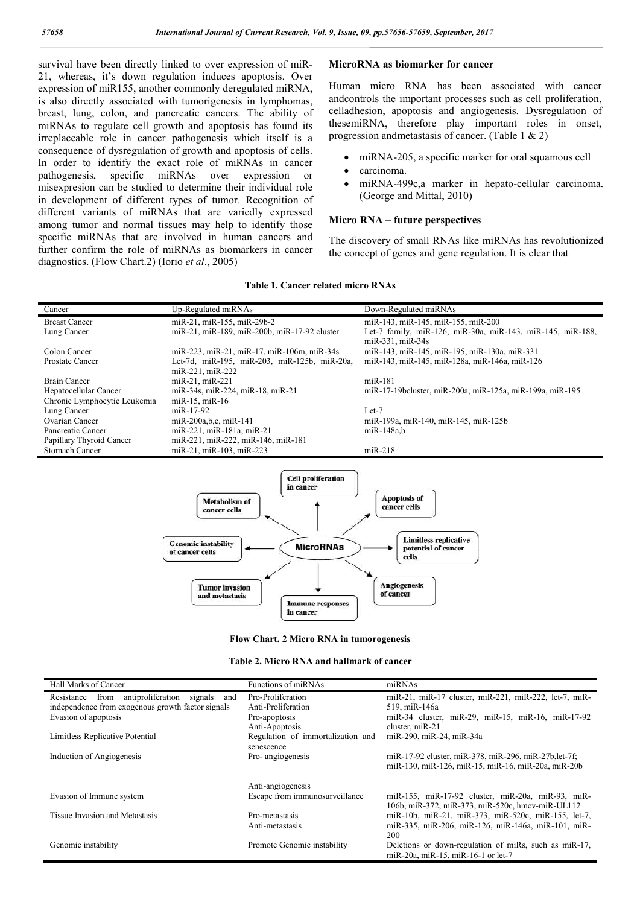survival have been directly linked to over expression of miR-21, whereas, it's down regulation induces apoptosis. Over expression of miR155, another commonly deregulated miRNA, is also directly associated with tumorigenesis in lymphomas, breast, lung, colon, and pancreatic cancers. The ability of miRNAs to regulate cell growth and apoptosis has found its irreplaceable role in cancer pathogenesis which itself is a consequence of dysregulation of growth and apoptosis of cells. In order to identify the exact role of miRNAs in cancer pathogenesis, specific miRNAs over expression or misexpresion can be studied to determine their individual role in development of different types of tumor. Recognition of different variants of miRNAs that are variedly expressed among tumor and normal tissues may help to identify those specific miRNAs that are involved in human cancers and further confirm the role of miRNAs as biomarkers in cancer diagnostics. (Flow Chart.2) (Iorio *et al*., 2005)

#### **MicroRNA as biomarker for cancer**

Human micro RNA has been associated with cancer andcontrols the important processes such as cell proliferation, celladhesion, apoptosis and angiogenesis. Dysregulation of thesemiRNA, therefore play important roles in onset, progression andmetastasis of cancer. (Table 1 & 2)

- miRNA-205, a specific marker for oral squamous cell
- carcinoma.
- miRNA-499c,a marker in hepato-cellular carcinoma. (George and Mittal, 2010)

#### **Micro RNA – future perspectives**

The discovery of small RNAs like miRNAs has revolutionized the concept of genes and gene regulation. It is clear that

#### **Table 1. Cancer related micro RNAs**

| Cancer                       | Up-Regulated miRNAs                          | Down-Regulated miRNAs                                                          |
|------------------------------|----------------------------------------------|--------------------------------------------------------------------------------|
| <b>Breast Cancer</b>         | miR-21, miR-155, miR-29b-2                   | miR-143, miR-145, miR-155, miR-200                                             |
| Lung Cancer                  | miR-21, miR-189, miR-200b, miR-17-92 cluster | Let-7 family, miR-126, miR-30a, miR-143, miR-145, miR-188,<br>miR-331. miR-34s |
| Colon Cancer                 | miR-223, miR-21, miR-17, miR-106m, miR-34s   | miR-143, miR-145, miR-195, miR-130a, miR-331                                   |
| Prostate Cancer              | Let-7d, miR-195, miR-203, miR-125b, miR-20a, | miR-143, miR-145, miR-128a, miR-146a, miR-126                                  |
|                              | $miR-221$ , $miR-222$                        |                                                                                |
| <b>Brain Cancer</b>          | $miR-21$ , $miR-221$                         | $miR-181$                                                                      |
| Hepatocellular Cancer        | miR-34s, miR-224, miR-18, miR-21             | miR-17-19bcluster, miR-200a, miR-125a, miR-199a, miR-195                       |
| Chronic Lymphocytic Leukemia | $miR-15$ , $miR-16$                          |                                                                                |
| Lung Cancer                  | $miR-17-92$                                  | $Let-7$                                                                        |
| Ovarian Cancer               | miR-200a, b, c, miR-141                      | miR-199a, miR-140, miR-145, miR-125b                                           |
| Pancreatic Cancer            | miR-221, miR-181a, miR-21                    | miR-148a.b                                                                     |
| Papillary Thyroid Cancer     | miR-221, miR-222, miR-146, miR-181           |                                                                                |
| Stomach Cancer               | miR-21, miR-103, miR-223                     | $mR-218$                                                                       |
|                              |                                              |                                                                                |



#### **Flow Chart. 2 Micro RNA in tumorogenesis**

| Table 2. Micro RNA and hallmark of cancer |  |
|-------------------------------------------|--|
|-------------------------------------------|--|

| Hall Marks of Cancer                                      | Functions of miRNAs                             | miRNAs                                                |
|-----------------------------------------------------------|-------------------------------------------------|-------------------------------------------------------|
| antiproliferation<br>signals<br>from<br>Resistance<br>and | Pro-Proliferation                               | miR-21, miR-17 cluster, miR-221, miR-222, let-7, miR- |
| independence from exogenous growth factor signals         | Anti-Proliferation                              | 519, miR-146a                                         |
| Evasion of apoptosis                                      | Pro-apoptosis                                   | miR-34 cluster, miR-29, miR-15, miR-16, miR-17-92     |
|                                                           | Anti-Apoptosis                                  | cluster, miR-21                                       |
| Limitless Replicative Potential                           | Regulation of immortalization and<br>senescence | miR-290, miR-24, miR-34a                              |
| Induction of Angiogenesis                                 | Pro- angiogenesis                               | miR-17-92 cluster, miR-378, miR-296, miR-27b, let-7f; |
|                                                           |                                                 | miR-130, miR-126, miR-15, miR-16, miR-20a, miR-20b    |
|                                                           | Anti-angiogenesis                               |                                                       |
| Evasion of Immune system                                  | Escape from immunosurveillance                  | miR-155, miR-17-92 cluster, miR-20a, miR-93, miR-     |
|                                                           |                                                 | 106b, miR-372, miR-373, miR-520c, hmcv-miR-UL112      |
| Tissue Invasion and Metastasis                            | Pro-metastasis                                  | miR-10b, miR-21, miR-373, miR-520c, miR-155, let-7,   |
|                                                           | Anti-metastasis                                 | miR-335, miR-206, miR-126, miR-146a, miR-101, miR-    |
|                                                           |                                                 | 200                                                   |
| Genomic instability                                       | Promote Genomic instability                     | Deletions or down-regulation of miRs, such as miR-17, |
|                                                           |                                                 | miR-20a, miR-15, miR-16-1 or let-7                    |